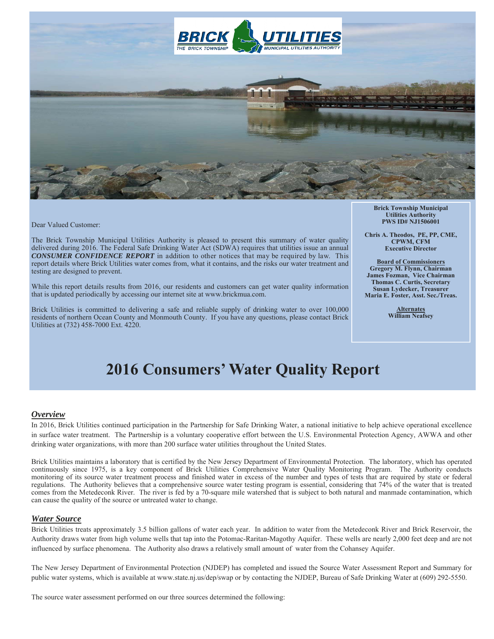

Dear Valued Customer:

The Brick Township Municipal Utilities Authority is pleased to present this summary of water quality delivered during 2016. The Federal Safe Drinking Water Act (SDWA) requires that utilities issue an annual *CONSUMER CONFIDENCE REPORT* in addition to other notices that may be required by law. This report details where Brick Utilities water comes from, what it contains, and the risks our water treatment and testing are designed to prevent.

While this report details results from 2016, our residents and customers can get water quality information that is updated periodically by accessing our internet site at www.brickmua.com.

Brick Utilities is committed to delivering a safe and reliable supply of drinking water to over 100,000 residents of northern Ocean County and Monmouth County. If you have any questions, please contact Brick Utilities at (732) 458-7000 Ext. 4220.

**Brick Township Municipal Utilities Authority PWS ID# NJ1506001** 

**Chris A. Theodos, PE, PP, CME, CPWM, CFM Executive Director** 

**Board of Commissioners Gregory M. Flynn, Chairman James Fozman, Vice Chairman Thomas C. Curtis, Secretary Susan Lydecker, Treasurer Maria E. Foster, Asst. Sec./Treas.** 

> **Alternates William Neafsey**

# **2016 Consumers' Water Quality Report**

#### *Overview*

In 2016, Brick Utilities continued participation in the Partnership for Safe Drinking Water, a national initiative to help achieve operational excellence in surface water treatment. The Partnership is a voluntary cooperative effort between the U.S. Environmental Protection Agency, AWWA and other drinking water organizations, with more than 200 surface water utilities throughout the United States.

Brick Utilities maintains a laboratory that is certified by the New Jersey Department of Environmental Protection. The laboratory, which has operated continuously since 1975, is a key component of Brick Utilities Comprehensive Water Quality Monitoring Program. The Authority conducts monitoring of its source water treatment process and finished water in excess of the number and types of tests that are required by state or federal regulations. The Authority believes that a comprehensive source water testing program is essential, considering that 74% of the water that is treated comes from the Metedeconk River. The river is fed by a 70-square mile watershed that is subject to both natural and manmade contamination, which can cause the quality of the source or untreated water to change.

#### *Water Source*

Brick Utilities treats approximately 3.5 billion gallons of water each year. In addition to water from the Metedeconk River and Brick Reservoir, the Authority draws water from high volume wells that tap into the Potomac-Raritan-Magothy Aquifer. These wells are nearly 2,000 feet deep and are not influenced by surface phenomena. The Authority also draws a relatively small amount of water from the Cohansey Aquifer.

The New Jersey Department of Environmental Protection (NJDEP) has completed and issued the Source Water Assessment Report and Summary for public water systems, which is available at www.state.nj.us/dep/swap or by contacting the NJDEP, Bureau of Safe Drinking Water at (609) 292-5550.

The source water assessment performed on our three sources determined the following: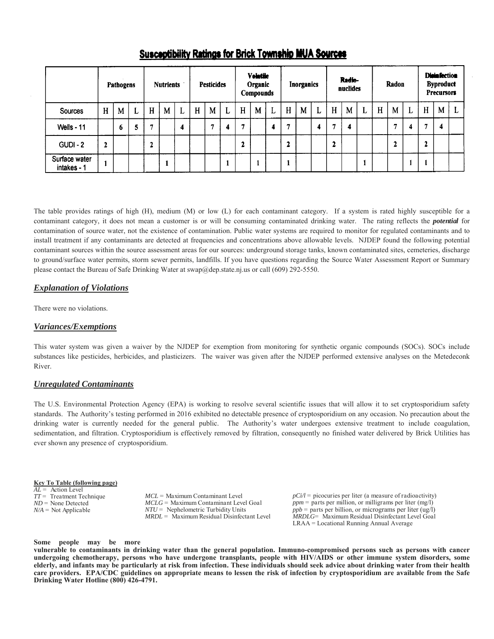|                              |   | Pathogens |   |   | <b>Nutrients</b> |   |   | <b>Pesticides</b> |   |   | <b>Volatile</b><br>Organic<br>Compounds |   |             | <b>Inorganics</b> |   |   | Radio-<br>nuclides |   |   | Radon |   |   | <b>DistaSection</b><br><b>Byproduct</b><br><b>Precursors</b> |  |
|------------------------------|---|-----------|---|---|------------------|---|---|-------------------|---|---|-----------------------------------------|---|-------------|-------------------|---|---|--------------------|---|---|-------|---|---|--------------------------------------------------------------|--|
| Sources                      | H | M         | L | H | M                | L | H | M                 | L | H | M                                       | L | $\mathbf H$ | M                 | L | H | M                  | L | H | M     | ┻ | H | M                                                            |  |
| Wells - 11                   |   | o         | 5 | Ħ |                  | 4 |   |                   | 4 |   |                                         |   | ×           |                   | А | ы | 4                  |   |   |       | Δ |   | 4                                                            |  |
| $GUDI - 2$                   | 2 |           |   | ◠ |                  |   |   |                   |   | L |                                         |   | 2           |                   |   | 2 |                    |   |   | 2     |   | 2 |                                                              |  |
| Surface water<br>intakes - 1 |   |           |   |   |                  |   |   |                   |   |   |                                         |   |             |                   |   |   |                    |   |   |       |   |   |                                                              |  |

# Susceptibility Ratings for Brick Township MUA Sources

The table provides ratings of high (H), medium (M) or low (L) for each contaminant category. If a system is rated highly susceptible for a contaminant category, it does not mean a customer is or will be consuming contaminated drinking water. The rating reflects the *potential* for contamination of source water, not the existence of contamination. Public water systems are required to monitor for regulated contaminants and to install treatment if any contaminants are detected at frequencies and concentrations above allowable levels. NJDEP found the following potential contaminant sources within the source assessment areas for our sources: underground storage tanks, known contaminated sites, cemeteries, discharge to ground/surface water permits, storm sewer permits, landfills. If you have questions regarding the Source Water Assessment Report or Summary please contact the Bureau of Safe Drinking Water at swap@dep.state.nj.us or call (609) 292-5550.

# *Explanation of Violations*

There were no violations.

# *Variances/Exemptions*

This water system was given a waiver by the NJDEP for exemption from monitoring for synthetic organic compounds (SOCs). SOCs include substances like pesticides, herbicides, and plasticizers. The waiver was given after the NJDEP performed extensive analyses on the Metedeconk River.

# *Unregulated Contaminants*

The U.S. Environmental Protection Agency (EPA) is working to resolve several scientific issues that will allow it to set cryptosporidium safety standards. The Authority's testing performed in 2016 exhibited no detectable presence of cryptosporidium on any occasion. No precaution about the drinking water is currently needed for the general public. The Authority's water undergoes extensive treatment to include coagulation, sedimentation, and filtration. Cryptosporidium is effectively removed by filtration, consequently no finished water delivered by Brick Utilities has ever shown any presence of cryptosporidium.

#### **Key To Table (following page)**

*AL* = Action Level *TT* = Treatment Technique *ND* = None Detected *N/A* = Not Applicable

*MCL* = Maximum Contaminant Level *MCLG* = Maximum Contaminant Level Goal *NTU* = Nephelometric Turbidity Units *MRDL* = Maximum Residual Disinfectant Level  $pCi/l =$  picocuries per liter (a measure of radioactivity) *ppm* = parts per million, or milligrams per liter (mg/l) *ppb* = parts per billion, or micrograms per liter (ug/l) *MRDLG*= Maximum Residual Disinfectant Level Goal LRAA = Locational Running Annual Average

#### **Some people may be more**

**vulnerable to contaminants in drinking water than the general population. Immuno-compromised persons such as persons with cancer undergoing chemotherapy, persons who have undergone transplants, people with HIV/AIDS or other immune system disorders, some elderly, and infants may be particularly at risk from infection. These individuals should seek advice about drinking water from their health care providers. EPA/CDC guidelines on appropriate means to lessen the risk of infection by cryptosporidium are available from the Safe Drinking Water Hotline (800) 426-4791.**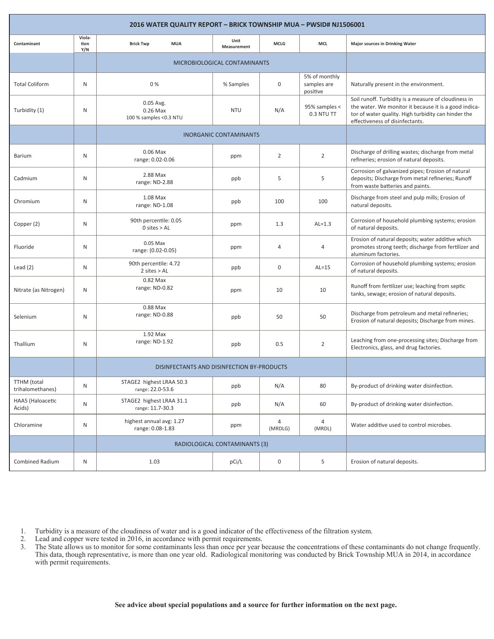| 2016 WATER QUALITY REPORT - BRICK TOWNSHIP MUA - PWSID# NJ1506001 |                       |                                                  |                                    |             |                                          |                                                                                                                                                                                                         |  |  |  |  |  |
|-------------------------------------------------------------------|-----------------------|--------------------------------------------------|------------------------------------|-------------|------------------------------------------|---------------------------------------------------------------------------------------------------------------------------------------------------------------------------------------------------------|--|--|--|--|--|
| Contaminant                                                       | Viola-<br>tion<br>Y/N | <b>Brick Twp</b><br><b>MUA</b>                   | Unit<br>Measurement                | <b>MCLG</b> |                                          | <b>Major sources in Drinking Water</b>                                                                                                                                                                  |  |  |  |  |  |
|                                                                   |                       | MICROBIOLOGICAL CONTAMINANTS                     |                                    |             |                                          |                                                                                                                                                                                                         |  |  |  |  |  |
| <b>Total Coliform</b>                                             | N                     | 0%                                               | % Samples                          | 0           | 5% of monthly<br>samples are<br>positive | Naturally present in the environment.                                                                                                                                                                   |  |  |  |  |  |
| Turbidity (1)                                                     | N                     | 0.05 Avg.<br>0.26 Max<br>100 % samples < 0.3 NTU | <b>NTU</b>                         | N/A         | 95% samples <<br>0.3 NTU TT              | Soil runoff. Turbidity is a measure of cloudiness in<br>the water. We monitor it because it is a good indica-<br>tor of water quality. High turbidity can hinder the<br>effectiveness of disinfectants. |  |  |  |  |  |
|                                                                   |                       | <b>INORGANIC CONTAMINANTS</b>                    |                                    |             |                                          |                                                                                                                                                                                                         |  |  |  |  |  |
| <b>Barium</b>                                                     | N                     | $0.06$ Max<br>range: 0.02-0.06                   | ppm                                | 2           | $\overline{2}$                           | Discharge of drilling wastes; discharge from metal<br>refineries; erosion of natural deposits.                                                                                                          |  |  |  |  |  |
| Cadmium                                                           | N                     | 2.88 Max<br>range: ND-2.88                       | ppb                                | 5           | 5                                        | Corrosion of galvanized pipes; Erosion of natural<br>deposits; Discharge from metal refineries; Runoff<br>from waste batteries and paints.                                                              |  |  |  |  |  |
| Chromium                                                          | N                     | 1.08 Max<br>range: ND-1.08                       | ppb                                | 100         | 100                                      | Discharge from steel and pulp mills; Erosion of<br>natural deposits.                                                                                                                                    |  |  |  |  |  |
| Copper (2)                                                        | N                     | 90th percentile: 0.05<br>$0$ sites $>$ AL        | ppm                                | 1.3         | $AL=1.3$                                 | Corrosion of household plumbing systems; erosion<br>of natural deposits.                                                                                                                                |  |  |  |  |  |
| Fluoride                                                          | N                     | $0.05$ Max<br>range: (0.02-0.05)                 | ppm                                | 4           | 4                                        | Erosion of natural deposits; water additive which<br>promotes strong teeth; discharge from fertilizer and<br>aluminum factories.                                                                        |  |  |  |  |  |
| Lead $(2)$                                                        | N                     | 90th percentile: 4.72<br>$2$ sites $>$ AL        | ppb                                | 0           | $AL=15$                                  | Corrosion of household plumbing systems; erosion<br>of natural deposits.                                                                                                                                |  |  |  |  |  |
| Nitrate (as Nitrogen)                                             | N                     | 0.82 Max<br>range: ND-0.82                       | ppm                                | 10          | 10                                       | Runoff from fertilizer use; leaching from septic<br>tanks, sewage; erosion of natural deposits.                                                                                                         |  |  |  |  |  |
| Selenium                                                          | N                     | 0.88 Max<br>range: ND-0.88                       | ppb                                | 50          | 50                                       | Discharge from petroleum and metal refineries;<br>Erosion of natural deposits; Discharge from mines.                                                                                                    |  |  |  |  |  |
| Thallium                                                          | N                     | 1.92 Max<br>range: ND-1.92                       | ppb                                | 0.5         | $\overline{2}$                           | Leaching from one-processing sites; Discharge from<br>Electronics, glass, and drug factories.                                                                                                           |  |  |  |  |  |
|                                                                   |                       | DISINFECTANTS AND DISINFECTION BY-PRODUCTS       |                                    |             |                                          |                                                                                                                                                                                                         |  |  |  |  |  |
| <b>TTHM</b> (total<br>trihalomethanes)                            | N                     | STAGE2 highest LRAA 50.3<br>range: 22.0-53.6     | ppb                                | N/A         | 80                                       | By-product of drinking water disinfection.                                                                                                                                                              |  |  |  |  |  |
| HAA5 (Haloacetic<br>Acids)                                        | N                     | STAGE2 highest LRAA 31.1<br>range: 11.7-30.3     | ppb                                | N/A         | 60                                       | By-product of drinking water disinfection.                                                                                                                                                              |  |  |  |  |  |
| Chloramine                                                        | N                     | highest annual avg: 1.27<br>range: 0.08-1.83     | 4<br>4<br>ppm<br>(MRDLG)<br>(MRDL) |             |                                          | Water additive used to control microbes.                                                                                                                                                                |  |  |  |  |  |
|                                                                   |                       | RADIOLOGICAL CONTAMINANTS (3)                    |                                    |             |                                          |                                                                                                                                                                                                         |  |  |  |  |  |
| <b>Combined Radium</b>                                            | N                     | 1.03                                             | pCi/L                              | 0           | 5                                        | Erosion of natural deposits.                                                                                                                                                                            |  |  |  |  |  |

1. Turbidity is a measure of the cloudiness of water and is a good indicator of the effectiveness of the filtration system.

2. Lead and copper were tested in 2016, in accordance with permit requirements.

3. The State allows us to monitor for some contaminants less than once per year because the concentrations of these contaminants do not change frequently. This data, though representative, is more than one year old. Radiological monitoring was conducted by Brick Township MUA in 2014, in accordance with permit requirements.